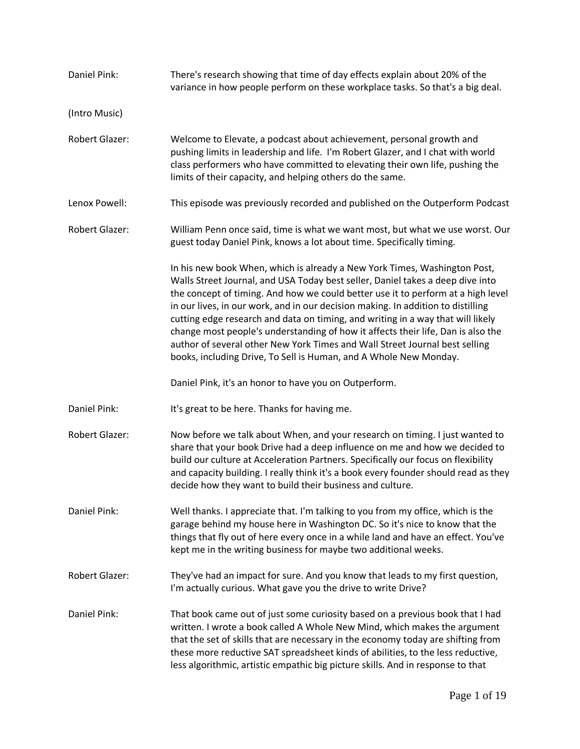| Daniel Pink:          | There's research showing that time of day effects explain about 20% of the<br>variance in how people perform on these workplace tasks. So that's a big deal.                                                                                                                                                                                                                                                                                                                                                                                                                                                                                                   |
|-----------------------|----------------------------------------------------------------------------------------------------------------------------------------------------------------------------------------------------------------------------------------------------------------------------------------------------------------------------------------------------------------------------------------------------------------------------------------------------------------------------------------------------------------------------------------------------------------------------------------------------------------------------------------------------------------|
| (Intro Music)         |                                                                                                                                                                                                                                                                                                                                                                                                                                                                                                                                                                                                                                                                |
| Robert Glazer:        | Welcome to Elevate, a podcast about achievement, personal growth and<br>pushing limits in leadership and life. I'm Robert Glazer, and I chat with world<br>class performers who have committed to elevating their own life, pushing the<br>limits of their capacity, and helping others do the same.                                                                                                                                                                                                                                                                                                                                                           |
| Lenox Powell:         | This episode was previously recorded and published on the Outperform Podcast                                                                                                                                                                                                                                                                                                                                                                                                                                                                                                                                                                                   |
| Robert Glazer:        | William Penn once said, time is what we want most, but what we use worst. Our<br>guest today Daniel Pink, knows a lot about time. Specifically timing.                                                                                                                                                                                                                                                                                                                                                                                                                                                                                                         |
|                       | In his new book When, which is already a New York Times, Washington Post,<br>Walls Street Journal, and USA Today best seller, Daniel takes a deep dive into<br>the concept of timing. And how we could better use it to perform at a high level<br>in our lives, in our work, and in our decision making. In addition to distilling<br>cutting edge research and data on timing, and writing in a way that will likely<br>change most people's understanding of how it affects their life, Dan is also the<br>author of several other New York Times and Wall Street Journal best selling<br>books, including Drive, To Sell is Human, and A Whole New Monday. |
|                       | Daniel Pink, it's an honor to have you on Outperform.                                                                                                                                                                                                                                                                                                                                                                                                                                                                                                                                                                                                          |
| Daniel Pink:          | It's great to be here. Thanks for having me.                                                                                                                                                                                                                                                                                                                                                                                                                                                                                                                                                                                                                   |
| Robert Glazer:        | Now before we talk about When, and your research on timing. I just wanted to<br>share that your book Drive had a deep influence on me and how we decided to<br>build our culture at Acceleration Partners. Specifically our focus on flexibility<br>and capacity building. I really think it's a book every founder should read as they<br>decide how they want to build their business and culture.                                                                                                                                                                                                                                                           |
| Daniel Pink:          | Well thanks. I appreciate that. I'm talking to you from my office, which is the<br>garage behind my house here in Washington DC. So it's nice to know that the<br>things that fly out of here every once in a while land and have an effect. You've<br>kept me in the writing business for maybe two additional weeks.                                                                                                                                                                                                                                                                                                                                         |
| <b>Robert Glazer:</b> | They've had an impact for sure. And you know that leads to my first question,<br>I'm actually curious. What gave you the drive to write Drive?                                                                                                                                                                                                                                                                                                                                                                                                                                                                                                                 |
| Daniel Pink:          | That book came out of just some curiosity based on a previous book that I had<br>written. I wrote a book called A Whole New Mind, which makes the argument<br>that the set of skills that are necessary in the economy today are shifting from<br>these more reductive SAT spreadsheet kinds of abilities, to the less reductive,<br>less algorithmic, artistic empathic big picture skills. And in response to that                                                                                                                                                                                                                                           |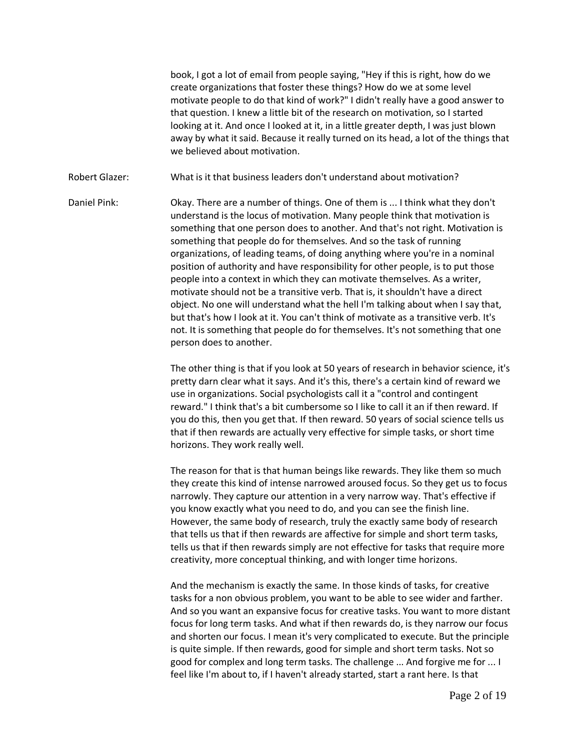book, I got a lot of email from people saying, "Hey if this is right, how do we create organizations that foster these things? How do we at some level motivate people to do that kind of work?" I didn't really have a good answer to that question. I knew a little bit of the research on motivation, so I started looking at it. And once I looked at it, in a little greater depth, I was just blown away by what it said. Because it really turned on its head, a lot of the things that we believed about motivation.

Robert Glazer: What is it that business leaders don't understand about motivation?

Daniel Pink: Okay. There are a number of things. One of them is ... I think what they don't understand is the locus of motivation. Many people think that motivation is something that one person does to another. And that's not right. Motivation is something that people do for themselves. And so the task of running organizations, of leading teams, of doing anything where you're in a nominal position of authority and have responsibility for other people, is to put those people into a context in which they can motivate themselves. As a writer, motivate should not be a transitive verb. That is, it shouldn't have a direct object. No one will understand what the hell I'm talking about when I say that, but that's how I look at it. You can't think of motivate as a transitive verb. It's not. It is something that people do for themselves. It's not something that one person does to another.

> The other thing is that if you look at 50 years of research in behavior science, it's pretty darn clear what it says. And it's this, there's a certain kind of reward we use in organizations. Social psychologists call it a "control and contingent reward." I think that's a bit cumbersome so I like to call it an if then reward. If you do this, then you get that. If then reward. 50 years of social science tells us that if then rewards are actually very effective for simple tasks, or short time horizons. They work really well.

> The reason for that is that human beings like rewards. They like them so much they create this kind of intense narrowed aroused focus. So they get us to focus narrowly. They capture our attention in a very narrow way. That's effective if you know exactly what you need to do, and you can see the finish line. However, the same body of research, truly the exactly same body of research that tells us that if then rewards are affective for simple and short term tasks, tells us that if then rewards simply are not effective for tasks that require more creativity, more conceptual thinking, and with longer time horizons.

And the mechanism is exactly the same. In those kinds of tasks, for creative tasks for a non obvious problem, you want to be able to see wider and farther. And so you want an expansive focus for creative tasks. You want to more distant focus for long term tasks. And what if then rewards do, is they narrow our focus and shorten our focus. I mean it's very complicated to execute. But the principle is quite simple. If then rewards, good for simple and short term tasks. Not so good for complex and long term tasks. The challenge ... And forgive me for ... I feel like I'm about to, if I haven't already started, start a rant here. Is that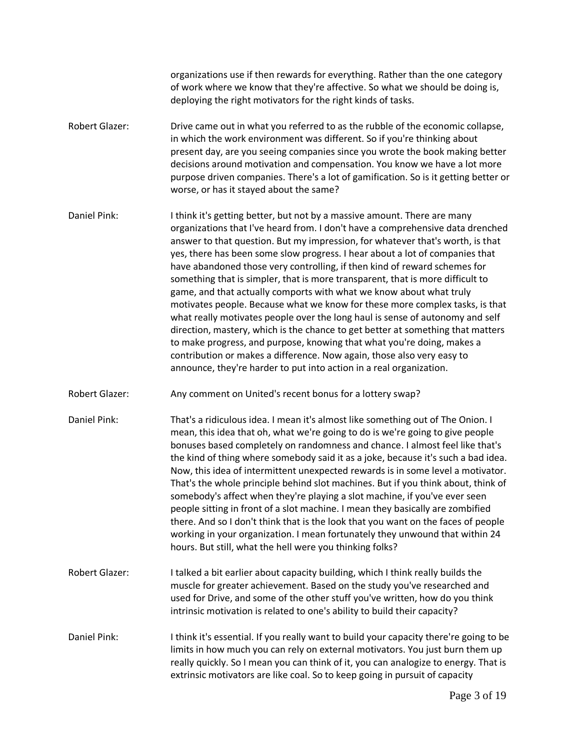organizations use if then rewards for everything. Rather than the one category of work where we know that they're affective. So what we should be doing is, deploying the right motivators for the right kinds of tasks.

- Robert Glazer: Drive came out in what you referred to as the rubble of the economic collapse, in which the work environment was different. So if you're thinking about present day, are you seeing companies since you wrote the book making better decisions around motivation and compensation. You know we have a lot more purpose driven companies. There's a lot of gamification. So is it getting better or worse, or has it stayed about the same?
- Daniel Pink: I think it's getting better, but not by a massive amount. There are many organizations that I've heard from. I don't have a comprehensive data drenched answer to that question. But my impression, for whatever that's worth, is that yes, there has been some slow progress. I hear about a lot of companies that have abandoned those very controlling, if then kind of reward schemes for something that is simpler, that is more transparent, that is more difficult to game, and that actually comports with what we know about what truly motivates people. Because what we know for these more complex tasks, is that what really motivates people over the long haul is sense of autonomy and self direction, mastery, which is the chance to get better at something that matters to make progress, and purpose, knowing that what you're doing, makes a contribution or makes a difference. Now again, those also very easy to announce, they're harder to put into action in a real organization.
- Robert Glazer: Any comment on United's recent bonus for a lottery swap?
- Daniel Pink: That's a ridiculous idea. I mean it's almost like something out of The Onion. I mean, this idea that oh, what we're going to do is we're going to give people bonuses based completely on randomness and chance. I almost feel like that's the kind of thing where somebody said it as a joke, because it's such a bad idea. Now, this idea of intermittent unexpected rewards is in some level a motivator. That's the whole principle behind slot machines. But if you think about, think of somebody's affect when they're playing a slot machine, if you've ever seen people sitting in front of a slot machine. I mean they basically are zombified there. And so I don't think that is the look that you want on the faces of people working in your organization. I mean fortunately they unwound that within 24 hours. But still, what the hell were you thinking folks?
- Robert Glazer: I talked a bit earlier about capacity building, which I think really builds the muscle for greater achievement. Based on the study you've researched and used for Drive, and some of the other stuff you've written, how do you think intrinsic motivation is related to one's ability to build their capacity?
- Daniel Pink: I think it's essential. If you really want to build your capacity there're going to be limits in how much you can rely on external motivators. You just burn them up really quickly. So I mean you can think of it, you can analogize to energy. That is extrinsic motivators are like coal. So to keep going in pursuit of capacity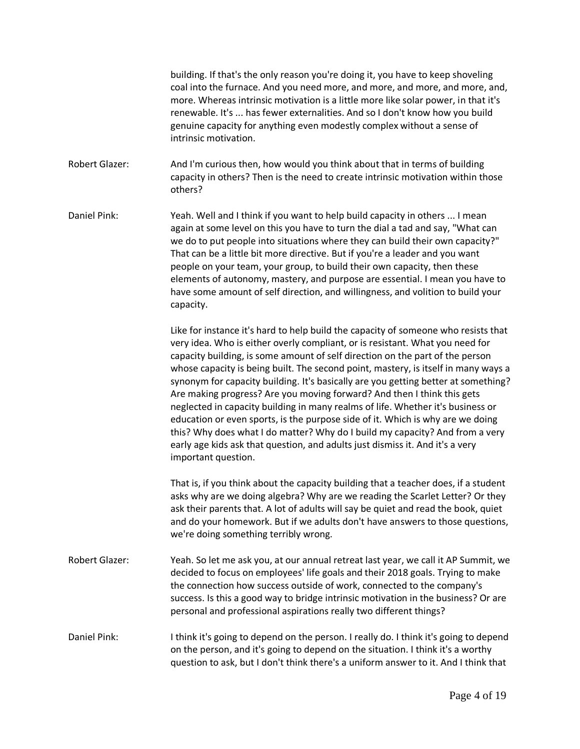building. If that's the only reason you're doing it, you have to keep shoveling coal into the furnace. And you need more, and more, and more, and more, and, more. Whereas intrinsic motivation is a little more like solar power, in that it's renewable. It's ... has fewer externalities. And so I don't know how you build genuine capacity for anything even modestly complex without a sense of intrinsic motivation.

Robert Glazer: And I'm curious then, how would you think about that in terms of building capacity in others? Then is the need to create intrinsic motivation within those others?

Daniel Pink: Yeah. Well and I think if you want to help build capacity in others ... I mean again at some level on this you have to turn the dial a tad and say, "What can we do to put people into situations where they can build their own capacity?" That can be a little bit more directive. But if you're a leader and you want people on your team, your group, to build their own capacity, then these elements of autonomy, mastery, and purpose are essential. I mean you have to have some amount of self direction, and willingness, and volition to build your capacity.

> Like for instance it's hard to help build the capacity of someone who resists that very idea. Who is either overly compliant, or is resistant. What you need for capacity building, is some amount of self direction on the part of the person whose capacity is being built. The second point, mastery, is itself in many ways a synonym for capacity building. It's basically are you getting better at something? Are making progress? Are you moving forward? And then I think this gets neglected in capacity building in many realms of life. Whether it's business or education or even sports, is the purpose side of it. Which is why are we doing this? Why does what I do matter? Why do I build my capacity? And from a very early age kids ask that question, and adults just dismiss it. And it's a very important question.

> That is, if you think about the capacity building that a teacher does, if a student asks why are we doing algebra? Why are we reading the Scarlet Letter? Or they ask their parents that. A lot of adults will say be quiet and read the book, quiet and do your homework. But if we adults don't have answers to those questions, we're doing something terribly wrong.

- Robert Glazer: Yeah. So let me ask you, at our annual retreat last year, we call it AP Summit, we decided to focus on employees' life goals and their 2018 goals. Trying to make the connection how success outside of work, connected to the company's success. Is this a good way to bridge intrinsic motivation in the business? Or are personal and professional aspirations really two different things?
- Daniel Pink: I think it's going to depend on the person. I really do. I think it's going to depend on the person, and it's going to depend on the situation. I think it's a worthy question to ask, but I don't think there's a uniform answer to it. And I think that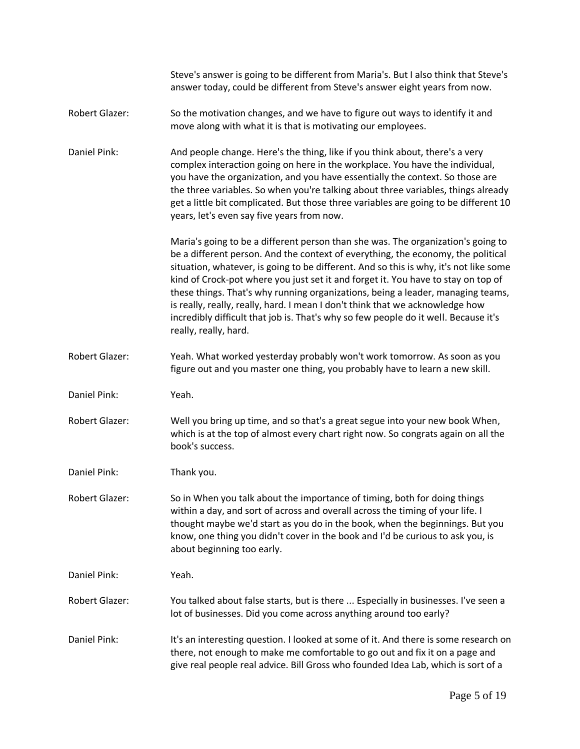|                       | Steve's answer is going to be different from Maria's. But I also think that Steve's<br>answer today, could be different from Steve's answer eight years from now.                                                                                                                                                                                                                                                                                                                                                                                                                                                                      |
|-----------------------|----------------------------------------------------------------------------------------------------------------------------------------------------------------------------------------------------------------------------------------------------------------------------------------------------------------------------------------------------------------------------------------------------------------------------------------------------------------------------------------------------------------------------------------------------------------------------------------------------------------------------------------|
| <b>Robert Glazer:</b> | So the motivation changes, and we have to figure out ways to identify it and<br>move along with what it is that is motivating our employees.                                                                                                                                                                                                                                                                                                                                                                                                                                                                                           |
| Daniel Pink:          | And people change. Here's the thing, like if you think about, there's a very<br>complex interaction going on here in the workplace. You have the individual,<br>you have the organization, and you have essentially the context. So those are<br>the three variables. So when you're talking about three variables, things already<br>get a little bit complicated. But those three variables are going to be different 10<br>years, let's even say five years from now.                                                                                                                                                               |
|                       | Maria's going to be a different person than she was. The organization's going to<br>be a different person. And the context of everything, the economy, the political<br>situation, whatever, is going to be different. And so this is why, it's not like some<br>kind of Crock-pot where you just set it and forget it. You have to stay on top of<br>these things. That's why running organizations, being a leader, managing teams,<br>is really, really, really, hard. I mean I don't think that we acknowledge how<br>incredibly difficult that job is. That's why so few people do it well. Because it's<br>really, really, hard. |
| Robert Glazer:        | Yeah. What worked yesterday probably won't work tomorrow. As soon as you<br>figure out and you master one thing, you probably have to learn a new skill.                                                                                                                                                                                                                                                                                                                                                                                                                                                                               |
| Daniel Pink:          | Yeah.                                                                                                                                                                                                                                                                                                                                                                                                                                                                                                                                                                                                                                  |
| Robert Glazer:        | Well you bring up time, and so that's a great segue into your new book When,<br>which is at the top of almost every chart right now. So congrats again on all the<br>book's success.                                                                                                                                                                                                                                                                                                                                                                                                                                                   |
| Daniel Pink:          | Thank you.                                                                                                                                                                                                                                                                                                                                                                                                                                                                                                                                                                                                                             |
| Robert Glazer:        | So in When you talk about the importance of timing, both for doing things<br>within a day, and sort of across and overall across the timing of your life. I<br>thought maybe we'd start as you do in the book, when the beginnings. But you<br>know, one thing you didn't cover in the book and I'd be curious to ask you, is<br>about beginning too early.                                                                                                                                                                                                                                                                            |
| Daniel Pink:          | Yeah.                                                                                                                                                                                                                                                                                                                                                                                                                                                                                                                                                                                                                                  |
| <b>Robert Glazer:</b> | You talked about false starts, but is there  Especially in businesses. I've seen a<br>lot of businesses. Did you come across anything around too early?                                                                                                                                                                                                                                                                                                                                                                                                                                                                                |
| Daniel Pink:          | It's an interesting question. I looked at some of it. And there is some research on<br>there, not enough to make me comfortable to go out and fix it on a page and<br>give real people real advice. Bill Gross who founded Idea Lab, which is sort of a                                                                                                                                                                                                                                                                                                                                                                                |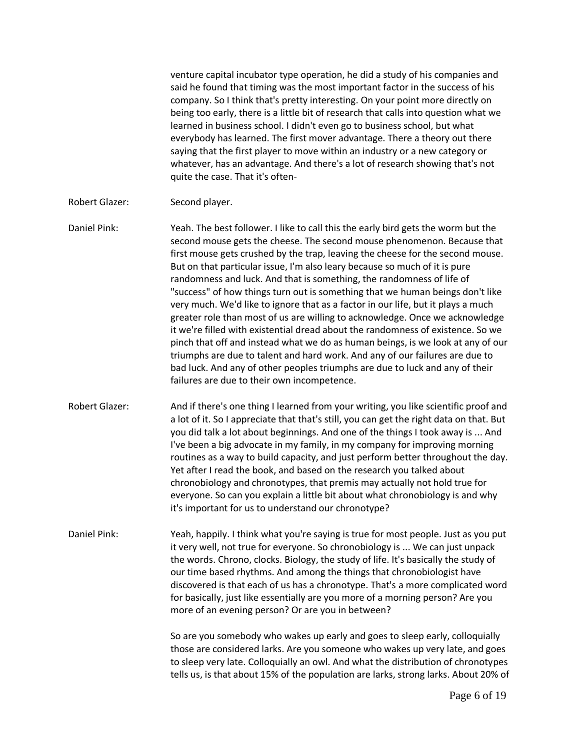venture capital incubator type operation, he did a study of his companies and said he found that timing was the most important factor in the success of his company. So I think that's pretty interesting. On your point more directly on being too early, there is a little bit of research that calls into question what we learned in business school. I didn't even go to business school, but what everybody has learned. The first mover advantage. There a theory out there saying that the first player to move within an industry or a new category or whatever, has an advantage. And there's a lot of research showing that's not quite the case. That it's often-

Robert Glazer: Second player.

Daniel Pink: Yeah. The best follower. I like to call this the early bird gets the worm but the second mouse gets the cheese. The second mouse phenomenon. Because that first mouse gets crushed by the trap, leaving the cheese for the second mouse. But on that particular issue, I'm also leary because so much of it is pure randomness and luck. And that is something, the randomness of life of "success" of how things turn out is something that we human beings don't like very much. We'd like to ignore that as a factor in our life, but it plays a much greater role than most of us are willing to acknowledge. Once we acknowledge it we're filled with existential dread about the randomness of existence. So we pinch that off and instead what we do as human beings, is we look at any of our triumphs are due to talent and hard work. And any of our failures are due to bad luck. And any of other peoples triumphs are due to luck and any of their failures are due to their own incompetence.

- Robert Glazer: And if there's one thing I learned from your writing, you like scientific proof and a lot of it. So I appreciate that that's still, you can get the right data on that. But you did talk a lot about beginnings. And one of the things I took away is ... And I've been a big advocate in my family, in my company for improving morning routines as a way to build capacity, and just perform better throughout the day. Yet after I read the book, and based on the research you talked about chronobiology and chronotypes, that premis may actually not hold true for everyone. So can you explain a little bit about what chronobiology is and why it's important for us to understand our chronotype?
- Daniel Pink: Yeah, happily. I think what you're saying is true for most people. Just as you put it very well, not true for everyone. So chronobiology is ... We can just unpack the words. Chrono, clocks. Biology, the study of life. It's basically the study of our time based rhythms. And among the things that chronobiologist have discovered is that each of us has a chronotype. That's a more complicated word for basically, just like essentially are you more of a morning person? Are you more of an evening person? Or are you in between?

So are you somebody who wakes up early and goes to sleep early, colloquially those are considered larks. Are you someone who wakes up very late, and goes to sleep very late. Colloquially an owl. And what the distribution of chronotypes tells us, is that about 15% of the population are larks, strong larks. About 20% of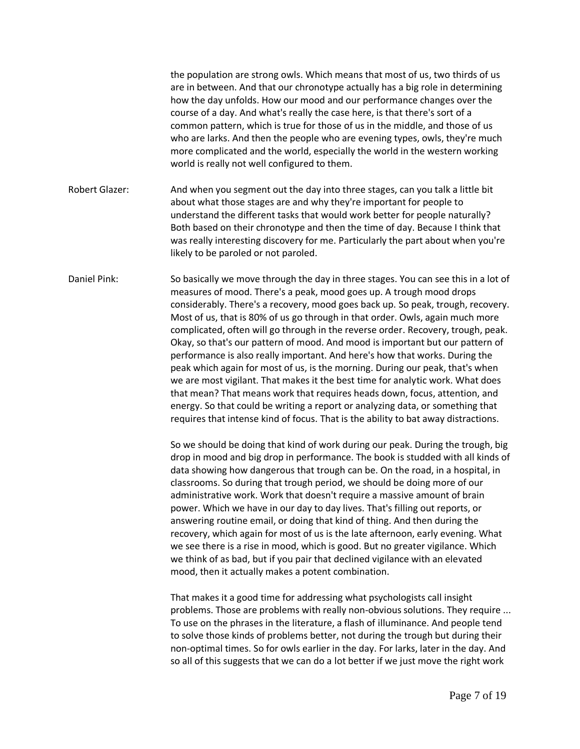the population are strong owls. Which means that most of us, two thirds of us are in between. And that our chronotype actually has a big role in determining how the day unfolds. How our mood and our performance changes over the course of a day. And what's really the case here, is that there's sort of a common pattern, which is true for those of us in the middle, and those of us who are larks. And then the people who are evening types, owls, they're much more complicated and the world, especially the world in the western working world is really not well configured to them.

Robert Glazer: And when you segment out the day into three stages, can you talk a little bit about what those stages are and why they're important for people to understand the different tasks that would work better for people naturally? Both based on their chronotype and then the time of day. Because I think that was really interesting discovery for me. Particularly the part about when you're likely to be paroled or not paroled.

Daniel Pink: So basically we move through the day in three stages. You can see this in a lot of measures of mood. There's a peak, mood goes up. A trough mood drops considerably. There's a recovery, mood goes back up. So peak, trough, recovery. Most of us, that is 80% of us go through in that order. Owls, again much more complicated, often will go through in the reverse order. Recovery, trough, peak. Okay, so that's our pattern of mood. And mood is important but our pattern of performance is also really important. And here's how that works. During the peak which again for most of us, is the morning. During our peak, that's when we are most vigilant. That makes it the best time for analytic work. What does that mean? That means work that requires heads down, focus, attention, and energy. So that could be writing a report or analyzing data, or something that requires that intense kind of focus. That is the ability to bat away distractions.

> So we should be doing that kind of work during our peak. During the trough, big drop in mood and big drop in performance. The book is studded with all kinds of data showing how dangerous that trough can be. On the road, in a hospital, in classrooms. So during that trough period, we should be doing more of our administrative work. Work that doesn't require a massive amount of brain power. Which we have in our day to day lives. That's filling out reports, or answering routine email, or doing that kind of thing. And then during the recovery, which again for most of us is the late afternoon, early evening. What we see there is a rise in mood, which is good. But no greater vigilance. Which we think of as bad, but if you pair that declined vigilance with an elevated mood, then it actually makes a potent combination.

> That makes it a good time for addressing what psychologists call insight problems. Those are problems with really non-obvious solutions. They require ... To use on the phrases in the literature, a flash of illuminance. And people tend to solve those kinds of problems better, not during the trough but during their non-optimal times. So for owls earlier in the day. For larks, later in the day. And so all of this suggests that we can do a lot better if we just move the right work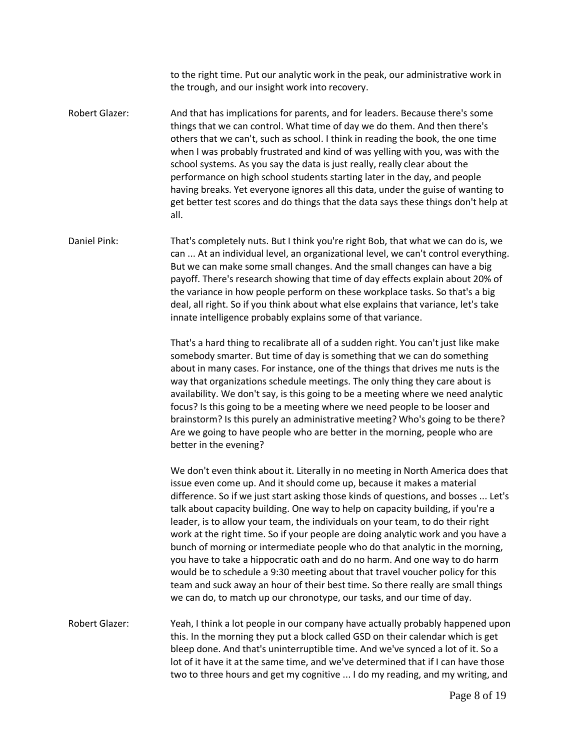to the right time. Put our analytic work in the peak, our administrative work in the trough, and our insight work into recovery.

Robert Glazer: And that has implications for parents, and for leaders. Because there's some things that we can control. What time of day we do them. And then there's others that we can't, such as school. I think in reading the book, the one time when I was probably frustrated and kind of was yelling with you, was with the school systems. As you say the data is just really, really clear about the performance on high school students starting later in the day, and people having breaks. Yet everyone ignores all this data, under the guise of wanting to get better test scores and do things that the data says these things don't help at all.

Daniel Pink: That's completely nuts. But I think you're right Bob, that what we can do is, we can ... At an individual level, an organizational level, we can't control everything. But we can make some small changes. And the small changes can have a big payoff. There's research showing that time of day effects explain about 20% of the variance in how people perform on these workplace tasks. So that's a big deal, all right. So if you think about what else explains that variance, let's take innate intelligence probably explains some of that variance.

> That's a hard thing to recalibrate all of a sudden right. You can't just like make somebody smarter. But time of day is something that we can do something about in many cases. For instance, one of the things that drives me nuts is the way that organizations schedule meetings. The only thing they care about is availability. We don't say, is this going to be a meeting where we need analytic focus? Is this going to be a meeting where we need people to be looser and brainstorm? Is this purely an administrative meeting? Who's going to be there? Are we going to have people who are better in the morning, people who are better in the evening?

We don't even think about it. Literally in no meeting in North America does that issue even come up. And it should come up, because it makes a material difference. So if we just start asking those kinds of questions, and bosses ... Let's talk about capacity building. One way to help on capacity building, if you're a leader, is to allow your team, the individuals on your team, to do their right work at the right time. So if your people are doing analytic work and you have a bunch of morning or intermediate people who do that analytic in the morning, you have to take a hippocratic oath and do no harm. And one way to do harm would be to schedule a 9:30 meeting about that travel voucher policy for this team and suck away an hour of their best time. So there really are small things we can do, to match up our chronotype, our tasks, and our time of day.

Robert Glazer: Yeah, I think a lot people in our company have actually probably happened upon this. In the morning they put a block called GSD on their calendar which is get bleep done. And that's uninterruptible time. And we've synced a lot of it. So a lot of it have it at the same time, and we've determined that if I can have those two to three hours and get my cognitive ... I do my reading, and my writing, and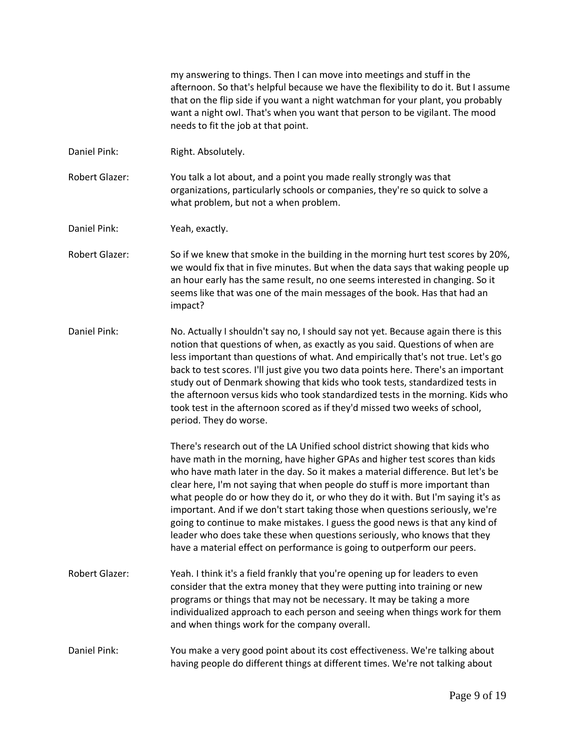my answering to things. Then I can move into meetings and stuff in the afternoon. So that's helpful because we have the flexibility to do it. But I assume that on the flip side if you want a night watchman for your plant, you probably want a night owl. That's when you want that person to be vigilant. The mood needs to fit the job at that point.

Daniel Pink: Right. Absolutely.

Robert Glazer: You talk a lot about, and a point you made really strongly was that organizations, particularly schools or companies, they're so quick to solve a what problem, but not a when problem.

Daniel Pink: Yeah, exactly.

- Robert Glazer: So if we knew that smoke in the building in the morning hurt test scores by 20%, we would fix that in five minutes. But when the data says that waking people up an hour early has the same result, no one seems interested in changing. So it seems like that was one of the main messages of the book. Has that had an impact?
- Daniel Pink: No. Actually I shouldn't say no, I should say not yet. Because again there is this notion that questions of when, as exactly as you said. Questions of when are less important than questions of what. And empirically that's not true. Let's go back to test scores. I'll just give you two data points here. There's an important study out of Denmark showing that kids who took tests, standardized tests in the afternoon versus kids who took standardized tests in the morning. Kids who took test in the afternoon scored as if they'd missed two weeks of school, period. They do worse.

There's research out of the LA Unified school district showing that kids who have math in the morning, have higher GPAs and higher test scores than kids who have math later in the day. So it makes a material difference. But let's be clear here, I'm not saying that when people do stuff is more important than what people do or how they do it, or who they do it with. But I'm saying it's as important. And if we don't start taking those when questions seriously, we're going to continue to make mistakes. I guess the good news is that any kind of leader who does take these when questions seriously, who knows that they have a material effect on performance is going to outperform our peers.

Robert Glazer: Yeah. I think it's a field frankly that you're opening up for leaders to even consider that the extra money that they were putting into training or new programs or things that may not be necessary. It may be taking a more individualized approach to each person and seeing when things work for them and when things work for the company overall.

Daniel Pink: You make a very good point about its cost effectiveness. We're talking about having people do different things at different times. We're not talking about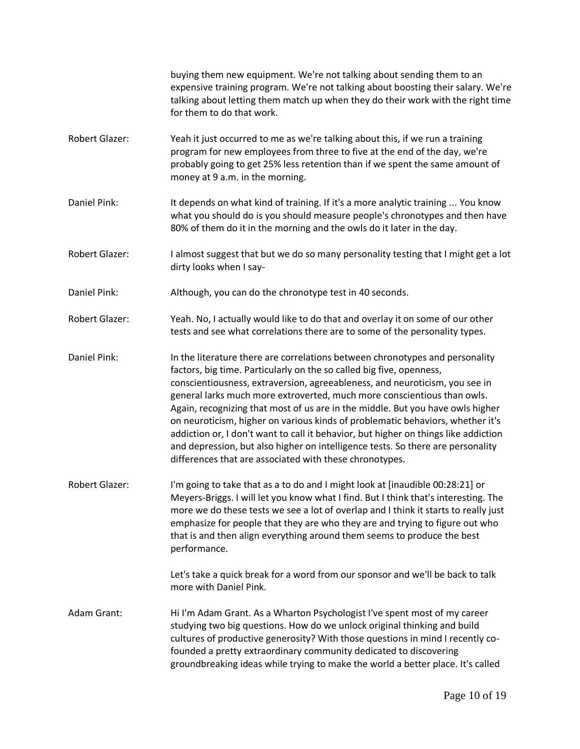|                       | buying them new equipment. We're not talking about sending them to an<br>expensive training program. We're not talking about boosting their salary. We're<br>talking about letting them match up when they do their work with the right time<br>for them to do that work.                                                                                                                                                                                                                                                                                                                                                                                                                                               |
|-----------------------|-------------------------------------------------------------------------------------------------------------------------------------------------------------------------------------------------------------------------------------------------------------------------------------------------------------------------------------------------------------------------------------------------------------------------------------------------------------------------------------------------------------------------------------------------------------------------------------------------------------------------------------------------------------------------------------------------------------------------|
| Robert Glazer:        | Yeah it just occurred to me as we're talking about this, if we run a training<br>program for new employees from three to five at the end of the day, we're<br>probably going to get 25% less retention than if we spent the same amount of<br>money at 9 a.m. in the morning.                                                                                                                                                                                                                                                                                                                                                                                                                                           |
| Daniel Pink:          | It depends on what kind of training. If it's a more analytic training  You know<br>what you should do is you should measure people's chronotypes and then have<br>80% of them do it in the morning and the owls do it later in the day.                                                                                                                                                                                                                                                                                                                                                                                                                                                                                 |
| Robert Glazer:        | I almost suggest that but we do so many personality testing that I might get a lot<br>dirty looks when I say-                                                                                                                                                                                                                                                                                                                                                                                                                                                                                                                                                                                                           |
| Daniel Pink:          | Although, you can do the chronotype test in 40 seconds.                                                                                                                                                                                                                                                                                                                                                                                                                                                                                                                                                                                                                                                                 |
| <b>Robert Glazer:</b> | Yeah. No, I actually would like to do that and overlay it on some of our other<br>tests and see what correlations there are to some of the personality types.                                                                                                                                                                                                                                                                                                                                                                                                                                                                                                                                                           |
| Daniel Pink:          | In the literature there are correlations between chronotypes and personality<br>factors, big time. Particularly on the so called big five, openness,<br>conscientiousness, extraversion, agreeableness, and neuroticism, you see in<br>general larks much more extroverted, much more conscientious than owls.<br>Again, recognizing that most of us are in the middle. But you have owls higher<br>on neuroticism, higher on various kinds of problematic behaviors, whether it's<br>addiction or, I don't want to call it behavior, but higher on things like addiction<br>and depression, but also higher on intelligence tests. So there are personality<br>differences that are associated with these chronotypes. |
| Robert Glazer:        | I'm going to take that as a to do and I might look at [inaudible 00:28:21] or<br>Meyers-Briggs. I will let you know what I find. But I think that's interesting. The<br>more we do these tests we see a lot of overlap and I think it starts to really just<br>emphasize for people that they are who they are and trying to figure out who<br>that is and then align everything around them seems to produce the best<br>performance.                                                                                                                                                                                                                                                                                  |
|                       | Let's take a quick break for a word from our sponsor and we'll be back to talk<br>more with Daniel Pink.                                                                                                                                                                                                                                                                                                                                                                                                                                                                                                                                                                                                                |
| Adam Grant:           | Hi I'm Adam Grant. As a Wharton Psychologist I've spent most of my career<br>studying two big questions. How do we unlock original thinking and build<br>cultures of productive generosity? With those questions in mind I recently co-<br>founded a pretty extraordinary community dedicated to discovering<br>groundbreaking ideas while trying to make the world a better place. It's called                                                                                                                                                                                                                                                                                                                         |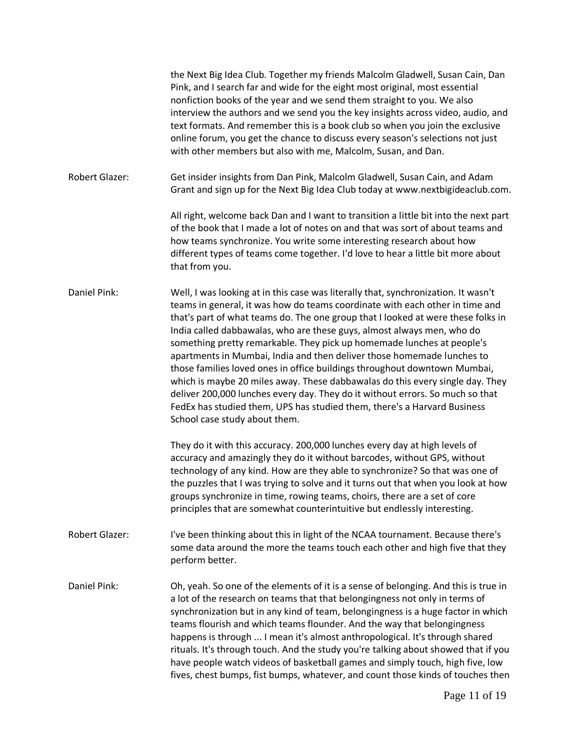|                       | the Next Big Idea Club. Together my friends Malcolm Gladwell, Susan Cain, Dan<br>Pink, and I search far and wide for the eight most original, most essential<br>nonfiction books of the year and we send them straight to you. We also<br>interview the authors and we send you the key insights across video, audio, and<br>text formats. And remember this is a book club so when you join the exclusive<br>online forum, you get the chance to discuss every season's selections not just<br>with other members but also with me, Malcolm, Susan, and Dan.                                                                                                                                                                                                                                                                                    |
|-----------------------|--------------------------------------------------------------------------------------------------------------------------------------------------------------------------------------------------------------------------------------------------------------------------------------------------------------------------------------------------------------------------------------------------------------------------------------------------------------------------------------------------------------------------------------------------------------------------------------------------------------------------------------------------------------------------------------------------------------------------------------------------------------------------------------------------------------------------------------------------|
| <b>Robert Glazer:</b> | Get insider insights from Dan Pink, Malcolm Gladwell, Susan Cain, and Adam<br>Grant and sign up for the Next Big Idea Club today at www.nextbigideaclub.com.                                                                                                                                                                                                                                                                                                                                                                                                                                                                                                                                                                                                                                                                                     |
|                       | All right, welcome back Dan and I want to transition a little bit into the next part<br>of the book that I made a lot of notes on and that was sort of about teams and<br>how teams synchronize. You write some interesting research about how<br>different types of teams come together. I'd love to hear a little bit more about<br>that from you.                                                                                                                                                                                                                                                                                                                                                                                                                                                                                             |
| Daniel Pink:          | Well, I was looking at in this case was literally that, synchronization. It wasn't<br>teams in general, it was how do teams coordinate with each other in time and<br>that's part of what teams do. The one group that I looked at were these folks in<br>India called dabbawalas, who are these guys, almost always men, who do<br>something pretty remarkable. They pick up homemade lunches at people's<br>apartments in Mumbai, India and then deliver those homemade lunches to<br>those families loved ones in office buildings throughout downtown Mumbai,<br>which is maybe 20 miles away. These dabbawalas do this every single day. They<br>deliver 200,000 lunches every day. They do it without errors. So much so that<br>FedEx has studied them, UPS has studied them, there's a Harvard Business<br>School case study about them. |
|                       | They do it with this accuracy. 200,000 lunches every day at high levels of<br>accuracy and amazingly they do it without barcodes, without GPS, without<br>technology of any kind. How are they able to synchronize? So that was one of<br>the puzzles that I was trying to solve and it turns out that when you look at how<br>groups synchronize in time, rowing teams, choirs, there are a set of core<br>principles that are somewhat counterintuitive but endlessly interesting.                                                                                                                                                                                                                                                                                                                                                             |
| <b>Robert Glazer:</b> | I've been thinking about this in light of the NCAA tournament. Because there's<br>some data around the more the teams touch each other and high five that they<br>perform better.                                                                                                                                                                                                                                                                                                                                                                                                                                                                                                                                                                                                                                                                |
| Daniel Pink:          | Oh, yeah. So one of the elements of it is a sense of belonging. And this is true in<br>a lot of the research on teams that that belongingness not only in terms of<br>synchronization but in any kind of team, belongingness is a huge factor in which<br>teams flourish and which teams flounder. And the way that belongingness<br>happens is through  I mean it's almost anthropological. It's through shared<br>rituals. It's through touch. And the study you're talking about showed that if you<br>have people watch videos of basketball games and simply touch, high five, low<br>fives, chest bumps, fist bumps, whatever, and count those kinds of touches then                                                                                                                                                                       |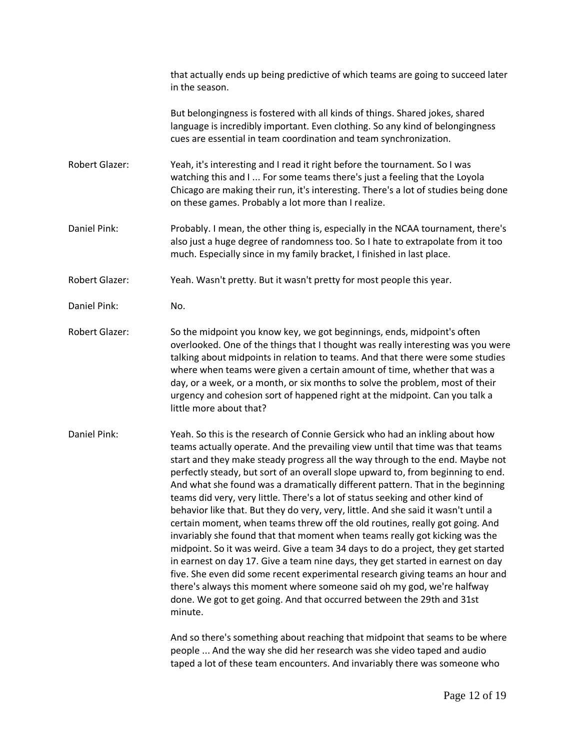that actually ends up being predictive of which teams are going to succeed later in the season. But belongingness is fostered with all kinds of things. Shared jokes, shared language is incredibly important. Even clothing. So any kind of belongingness cues are essential in team coordination and team synchronization. Robert Glazer: Yeah, it's interesting and I read it right before the tournament. So I was watching this and I ... For some teams there's just a feeling that the Loyola Chicago are making their run, it's interesting. There's a lot of studies being done on these games. Probably a lot more than I realize. Daniel Pink: Probably. I mean, the other thing is, especially in the NCAA tournament, there's also just a huge degree of randomness too. So I hate to extrapolate from it too much. Especially since in my family bracket, I finished in last place. Robert Glazer: Yeah. Wasn't pretty. But it wasn't pretty for most people this year. Daniel Pink: No. Robert Glazer: So the midpoint you know key, we got beginnings, ends, midpoint's often overlooked. One of the things that I thought was really interesting was you were talking about midpoints in relation to teams. And that there were some studies where when teams were given a certain amount of time, whether that was a day, or a week, or a month, or six months to solve the problem, most of their urgency and cohesion sort of happened right at the midpoint. Can you talk a little more about that? Daniel Pink: Yeah. So this is the research of Connie Gersick who had an inkling about how teams actually operate. And the prevailing view until that time was that teams start and they make steady progress all the way through to the end. Maybe not perfectly steady, but sort of an overall slope upward to, from beginning to end. And what she found was a dramatically different pattern. That in the beginning teams did very, very little. There's a lot of status seeking and other kind of behavior like that. But they do very, very, little. And she said it wasn't until a certain moment, when teams threw off the old routines, really got going. And invariably she found that that moment when teams really got kicking was the midpoint. So it was weird. Give a team 34 days to do a project, they get started in earnest on day 17. Give a team nine days, they get started in earnest on day five. She even did some recent experimental research giving teams an hour and there's always this moment where someone said oh my god, we're halfway done. We got to get going. And that occurred between the 29th and 31st

minute.

And so there's something about reaching that midpoint that seams to be where people ... And the way she did her research was she video taped and audio taped a lot of these team encounters. And invariably there was someone who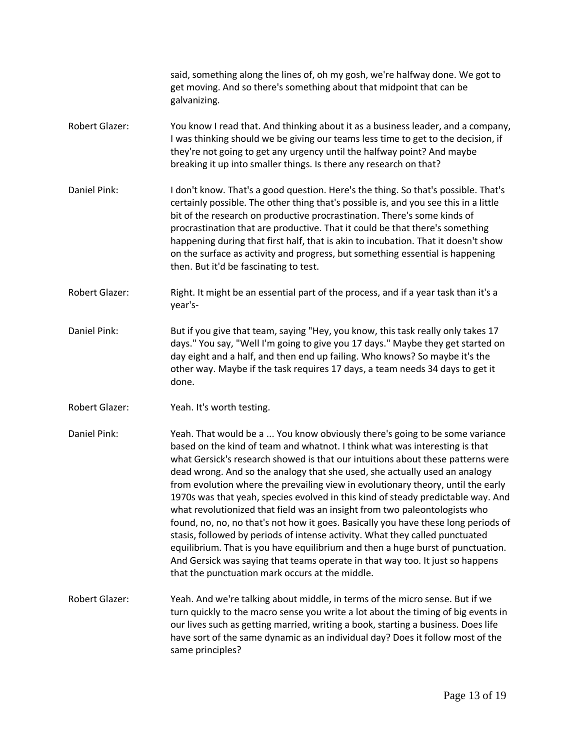|                       | said, something along the lines of, oh my gosh, we're halfway done. We got to<br>get moving. And so there's something about that midpoint that can be<br>galvanizing.                                                                                                                                                                                                                                                                                                                                                                                                                                                                                                                                                                                                                                                                                                                                                                                                          |
|-----------------------|--------------------------------------------------------------------------------------------------------------------------------------------------------------------------------------------------------------------------------------------------------------------------------------------------------------------------------------------------------------------------------------------------------------------------------------------------------------------------------------------------------------------------------------------------------------------------------------------------------------------------------------------------------------------------------------------------------------------------------------------------------------------------------------------------------------------------------------------------------------------------------------------------------------------------------------------------------------------------------|
| <b>Robert Glazer:</b> | You know I read that. And thinking about it as a business leader, and a company,<br>I was thinking should we be giving our teams less time to get to the decision, if<br>they're not going to get any urgency until the halfway point? And maybe<br>breaking it up into smaller things. Is there any research on that?                                                                                                                                                                                                                                                                                                                                                                                                                                                                                                                                                                                                                                                         |
| Daniel Pink:          | I don't know. That's a good question. Here's the thing. So that's possible. That's<br>certainly possible. The other thing that's possible is, and you see this in a little<br>bit of the research on productive procrastination. There's some kinds of<br>procrastination that are productive. That it could be that there's something<br>happening during that first half, that is akin to incubation. That it doesn't show<br>on the surface as activity and progress, but something essential is happening<br>then. But it'd be fascinating to test.                                                                                                                                                                                                                                                                                                                                                                                                                        |
| Robert Glazer:        | Right. It might be an essential part of the process, and if a year task than it's a<br>year's-                                                                                                                                                                                                                                                                                                                                                                                                                                                                                                                                                                                                                                                                                                                                                                                                                                                                                 |
| Daniel Pink:          | But if you give that team, saying "Hey, you know, this task really only takes 17<br>days." You say, "Well I'm going to give you 17 days." Maybe they get started on<br>day eight and a half, and then end up failing. Who knows? So maybe it's the<br>other way. Maybe if the task requires 17 days, a team needs 34 days to get it<br>done.                                                                                                                                                                                                                                                                                                                                                                                                                                                                                                                                                                                                                                   |
| Robert Glazer:        | Yeah. It's worth testing.                                                                                                                                                                                                                                                                                                                                                                                                                                                                                                                                                                                                                                                                                                                                                                                                                                                                                                                                                      |
| Daniel Pink:          | Yeah. That would be a  You know obviously there's going to be some variance<br>based on the kind of team and whatnot. I think what was interesting is that<br>what Gersick's research showed is that our intuitions about these patterns were<br>dead wrong. And so the analogy that she used, she actually used an analogy<br>from evolution where the prevailing view in evolutionary theory, until the early<br>1970s was that yeah, species evolved in this kind of steady predictable way. And<br>what revolutionized that field was an insight from two paleontologists who<br>found, no, no, no that's not how it goes. Basically you have these long periods of<br>stasis, followed by periods of intense activity. What they called punctuated<br>equilibrium. That is you have equilibrium and then a huge burst of punctuation.<br>And Gersick was saying that teams operate in that way too. It just so happens<br>that the punctuation mark occurs at the middle. |
| Robert Glazer:        | Yeah. And we're talking about middle, in terms of the micro sense. But if we<br>turn quickly to the macro sense you write a lot about the timing of big events in<br>our lives such as getting married, writing a book, starting a business. Does life<br>have sort of the same dynamic as an individual day? Does it follow most of the<br>same principles?                                                                                                                                                                                                                                                                                                                                                                                                                                                                                                                                                                                                                   |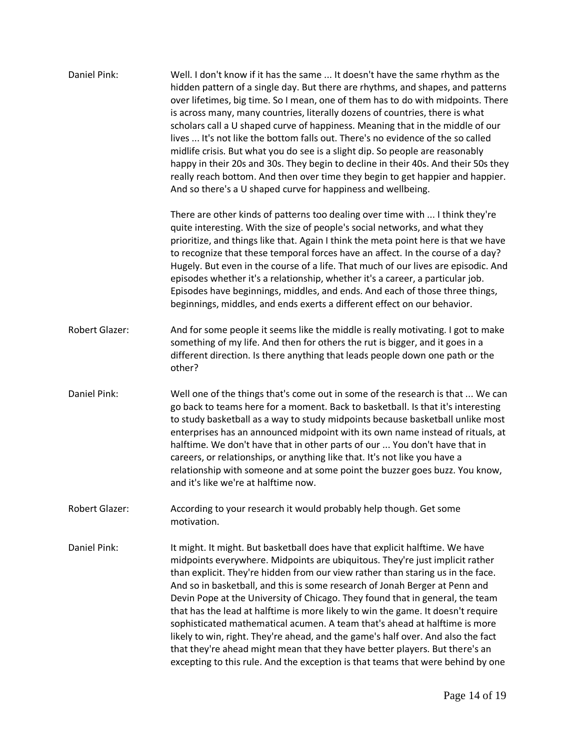| Daniel Pink:          | Well. I don't know if it has the same  It doesn't have the same rhythm as the<br>hidden pattern of a single day. But there are rhythms, and shapes, and patterns<br>over lifetimes, big time. So I mean, one of them has to do with midpoints. There<br>is across many, many countries, literally dozens of countries, there is what<br>scholars call a U shaped curve of happiness. Meaning that in the middle of our<br>lives  It's not like the bottom falls out. There's no evidence of the so called<br>midlife crisis. But what you do see is a slight dip. So people are reasonably<br>happy in their 20s and 30s. They begin to decline in their 40s. And their 50s they<br>really reach bottom. And then over time they begin to get happier and happier.<br>And so there's a U shaped curve for happiness and wellbeing.      |
|-----------------------|-----------------------------------------------------------------------------------------------------------------------------------------------------------------------------------------------------------------------------------------------------------------------------------------------------------------------------------------------------------------------------------------------------------------------------------------------------------------------------------------------------------------------------------------------------------------------------------------------------------------------------------------------------------------------------------------------------------------------------------------------------------------------------------------------------------------------------------------|
|                       | There are other kinds of patterns too dealing over time with  I think they're<br>quite interesting. With the size of people's social networks, and what they<br>prioritize, and things like that. Again I think the meta point here is that we have<br>to recognize that these temporal forces have an affect. In the course of a day?<br>Hugely. But even in the course of a life. That much of our lives are episodic. And<br>episodes whether it's a relationship, whether it's a career, a particular job.<br>Episodes have beginnings, middles, and ends. And each of those three things,<br>beginnings, middles, and ends exerts a different effect on our behavior.                                                                                                                                                              |
| <b>Robert Glazer:</b> | And for some people it seems like the middle is really motivating. I got to make<br>something of my life. And then for others the rut is bigger, and it goes in a<br>different direction. Is there anything that leads people down one path or the<br>other?                                                                                                                                                                                                                                                                                                                                                                                                                                                                                                                                                                            |
| Daniel Pink:          | Well one of the things that's come out in some of the research is that  We can<br>go back to teams here for a moment. Back to basketball. Is that it's interesting<br>to study basketball as a way to study midpoints because basketball unlike most<br>enterprises has an announced midpoint with its own name instead of rituals, at<br>halftime. We don't have that in other parts of our  You don't have that in<br>careers, or relationships, or anything like that. It's not like you have a<br>relationship with someone and at some point the buzzer goes buzz. You know,<br>and it's like we're at halftime now.                                                                                                                                                                                                               |
| <b>Robert Glazer:</b> | According to your research it would probably help though. Get some<br>motivation.                                                                                                                                                                                                                                                                                                                                                                                                                                                                                                                                                                                                                                                                                                                                                       |
| Daniel Pink:          | It might. It might. But basketball does have that explicit halftime. We have<br>midpoints everywhere. Midpoints are ubiquitous. They're just implicit rather<br>than explicit. They're hidden from our view rather than staring us in the face.<br>And so in basketball, and this is some research of Jonah Berger at Penn and<br>Devin Pope at the University of Chicago. They found that in general, the team<br>that has the lead at halftime is more likely to win the game. It doesn't require<br>sophisticated mathematical acumen. A team that's ahead at halftime is more<br>likely to win, right. They're ahead, and the game's half over. And also the fact<br>that they're ahead might mean that they have better players. But there's an<br>excepting to this rule. And the exception is that teams that were behind by one |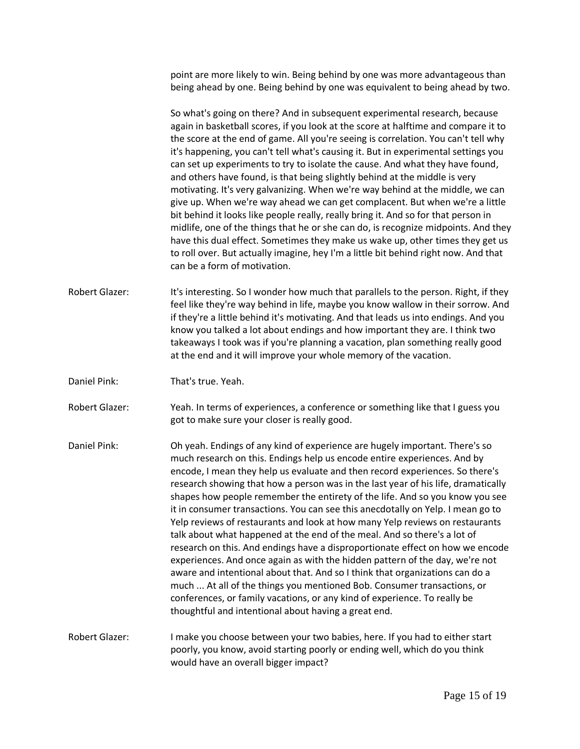point are more likely to win. Being behind by one was more advantageous than being ahead by one. Being behind by one was equivalent to being ahead by two.

So what's going on there? And in subsequent experimental research, because again in basketball scores, if you look at the score at halftime and compare it to the score at the end of game. All you're seeing is correlation. You can't tell why it's happening, you can't tell what's causing it. But in experimental settings you can set up experiments to try to isolate the cause. And what they have found, and others have found, is that being slightly behind at the middle is very motivating. It's very galvanizing. When we're way behind at the middle, we can give up. When we're way ahead we can get complacent. But when we're a little bit behind it looks like people really, really bring it. And so for that person in midlife, one of the things that he or she can do, is recognize midpoints. And they have this dual effect. Sometimes they make us wake up, other times they get us to roll over. But actually imagine, hey I'm a little bit behind right now. And that can be a form of motivation.

- Robert Glazer: It's interesting. So I wonder how much that parallels to the person. Right, if they feel like they're way behind in life, maybe you know wallow in their sorrow. And if they're a little behind it's motivating. And that leads us into endings. And you know you talked a lot about endings and how important they are. I think two takeaways I took was if you're planning a vacation, plan something really good at the end and it will improve your whole memory of the vacation.
- Daniel Pink: That's true. Yeah.

Robert Glazer: Yeah. In terms of experiences, a conference or something like that I guess you got to make sure your closer is really good.

Daniel Pink: Oh yeah. Endings of any kind of experience are hugely important. There's so much research on this. Endings help us encode entire experiences. And by encode, I mean they help us evaluate and then record experiences. So there's research showing that how a person was in the last year of his life, dramatically shapes how people remember the entirety of the life. And so you know you see it in consumer transactions. You can see this anecdotally on Yelp. I mean go to Yelp reviews of restaurants and look at how many Yelp reviews on restaurants talk about what happened at the end of the meal. And so there's a lot of research on this. And endings have a disproportionate effect on how we encode experiences. And once again as with the hidden pattern of the day, we're not aware and intentional about that. And so I think that organizations can do a much ... At all of the things you mentioned Bob. Consumer transactions, or conferences, or family vacations, or any kind of experience. To really be thoughtful and intentional about having a great end.

Robert Glazer: I make you choose between your two babies, here. If you had to either start poorly, you know, avoid starting poorly or ending well, which do you think would have an overall bigger impact?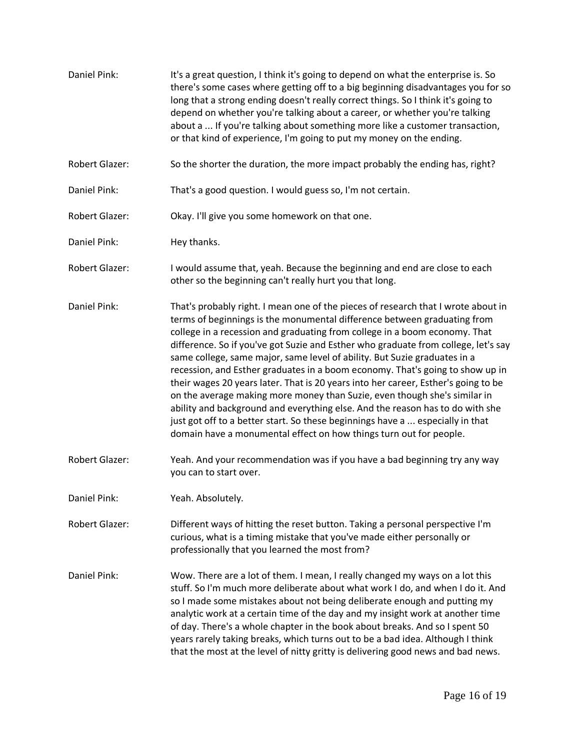Daniel Pink: It's a great question, I think it's going to depend on what the enterprise is. So there's some cases where getting off to a big beginning disadvantages you for so long that a strong ending doesn't really correct things. So I think it's going to depend on whether you're talking about a career, or whether you're talking about a ... If you're talking about something more like a customer transaction, or that kind of experience, I'm going to put my money on the ending. Robert Glazer: So the shorter the duration, the more impact probably the ending has, right? Daniel Pink: That's a good question. I would guess so, I'm not certain. Robert Glazer: Okay. I'll give you some homework on that one. Daniel Pink: Hey thanks. Robert Glazer: I would assume that, yeah. Because the beginning and end are close to each other so the beginning can't really hurt you that long. Daniel Pink: That's probably right. I mean one of the pieces of research that I wrote about in terms of beginnings is the monumental difference between graduating from college in a recession and graduating from college in a boom economy. That difference. So if you've got Suzie and Esther who graduate from college, let's say same college, same major, same level of ability. But Suzie graduates in a recession, and Esther graduates in a boom economy. That's going to show up in their wages 20 years later. That is 20 years into her career, Esther's going to be on the average making more money than Suzie, even though she's similar in ability and background and everything else. And the reason has to do with she just got off to a better start. So these beginnings have a ... especially in that domain have a monumental effect on how things turn out for people. Robert Glazer: Yeah. And your recommendation was if you have a bad beginning try any way you can to start over. Daniel Pink: Yeah. Absolutely. Robert Glazer: Different ways of hitting the reset button. Taking a personal perspective I'm curious, what is a timing mistake that you've made either personally or professionally that you learned the most from? Daniel Pink: Wow. There are a lot of them. I mean, I really changed my ways on a lot this stuff. So I'm much more deliberate about what work I do, and when I do it. And so I made some mistakes about not being deliberate enough and putting my analytic work at a certain time of the day and my insight work at another time of day. There's a whole chapter in the book about breaks. And so I spent 50 years rarely taking breaks, which turns out to be a bad idea. Although I think that the most at the level of nitty gritty is delivering good news and bad news.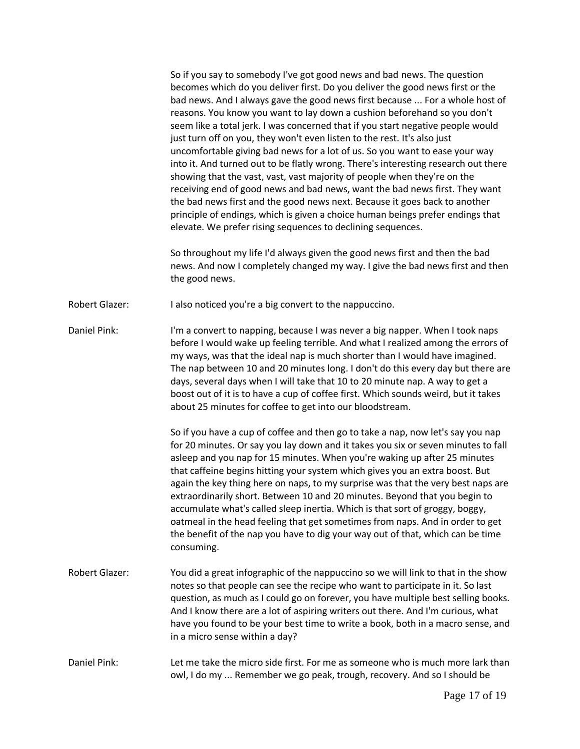So if you say to somebody I've got good news and bad news. The question becomes which do you deliver first. Do you deliver the good news first or the bad news. And I always gave the good news first because ... For a whole host of reasons. You know you want to lay down a cushion beforehand so you don't seem like a total jerk. I was concerned that if you start negative people would just turn off on you, they won't even listen to the rest. It's also just uncomfortable giving bad news for a lot of us. So you want to ease your way into it. And turned out to be flatly wrong. There's interesting research out there showing that the vast, vast, vast majority of people when they're on the receiving end of good news and bad news, want the bad news first. They want the bad news first and the good news next. Because it goes back to another principle of endings, which is given a choice human beings prefer endings that elevate. We prefer rising sequences to declining sequences.

So throughout my life I'd always given the good news first and then the bad news. And now I completely changed my way. I give the bad news first and then the good news.

Robert Glazer: I also noticed you're a big convert to the nappuccino.

Daniel Pink: I'm a convert to napping, because I was never a big napper. When I took naps before I would wake up feeling terrible. And what I realized among the errors of my ways, was that the ideal nap is much shorter than I would have imagined. The nap between 10 and 20 minutes long. I don't do this every day but there are days, several days when I will take that 10 to 20 minute nap. A way to get a boost out of it is to have a cup of coffee first. Which sounds weird, but it takes about 25 minutes for coffee to get into our bloodstream.

> So if you have a cup of coffee and then go to take a nap, now let's say you nap for 20 minutes. Or say you lay down and it takes you six or seven minutes to fall asleep and you nap for 15 minutes. When you're waking up after 25 minutes that caffeine begins hitting your system which gives you an extra boost. But again the key thing here on naps, to my surprise was that the very best naps are extraordinarily short. Between 10 and 20 minutes. Beyond that you begin to accumulate what's called sleep inertia. Which is that sort of groggy, boggy, oatmeal in the head feeling that get sometimes from naps. And in order to get the benefit of the nap you have to dig your way out of that, which can be time consuming.

- Robert Glazer: You did a great infographic of the nappuccino so we will link to that in the show notes so that people can see the recipe who want to participate in it. So last question, as much as I could go on forever, you have multiple best selling books. And I know there are a lot of aspiring writers out there. And I'm curious, what have you found to be your best time to write a book, both in a macro sense, and in a micro sense within a day?
- Daniel Pink: Let me take the micro side first. For me as someone who is much more lark than owl, I do my ... Remember we go peak, trough, recovery. And so I should be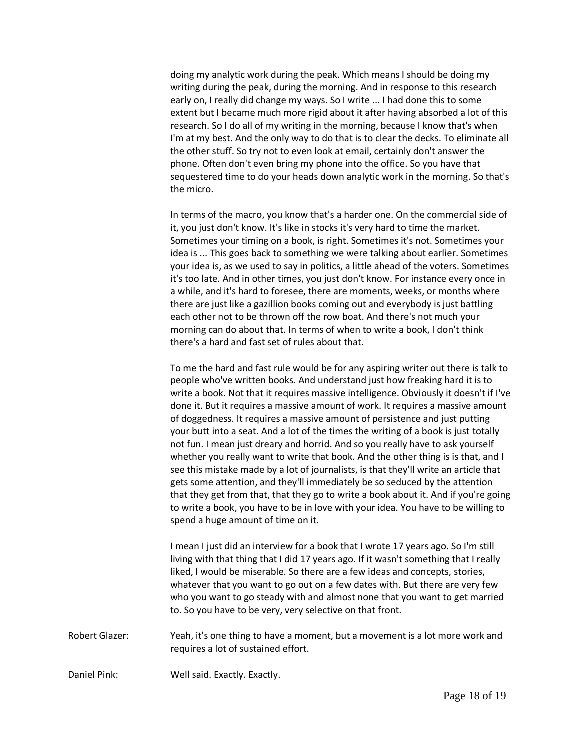doing my analytic work during the peak. Which means I should be doing my writing during the peak, during the morning. And in response to this research early on, I really did change my ways. So I write ... I had done this to some extent but I became much more rigid about it after having absorbed a lot of this research. So I do all of my writing in the morning, because I know that's when I'm at my best. And the only way to do that is to clear the decks. To eliminate all the other stuff. So try not to even look at email, certainly don't answer the phone. Often don't even bring my phone into the office. So you have that sequestered time to do your heads down analytic work in the morning. So that's the micro.

In terms of the macro, you know that's a harder one. On the commercial side of it, you just don't know. It's like in stocks it's very hard to time the market. Sometimes your timing on a book, is right. Sometimes it's not. Sometimes your idea is ... This goes back to something we were talking about earlier. Sometimes your idea is, as we used to say in politics, a little ahead of the voters. Sometimes it's too late. And in other times, you just don't know. For instance every once in a while, and it's hard to foresee, there are moments, weeks, or months where there are just like a gazillion books coming out and everybody is just battling each other not to be thrown off the row boat. And there's not much your morning can do about that. In terms of when to write a book, I don't think there's a hard and fast set of rules about that.

To me the hard and fast rule would be for any aspiring writer out there is talk to people who've written books. And understand just how freaking hard it is to write a book. Not that it requires massive intelligence. Obviously it doesn't if I've done it. But it requires a massive amount of work. It requires a massive amount of doggedness. It requires a massive amount of persistence and just putting your butt into a seat. And a lot of the times the writing of a book is just totally not fun. I mean just dreary and horrid. And so you really have to ask yourself whether you really want to write that book. And the other thing is is that, and I see this mistake made by a lot of journalists, is that they'll write an article that gets some attention, and they'll immediately be so seduced by the attention that they get from that, that they go to write a book about it. And if you're going to write a book, you have to be in love with your idea. You have to be willing to spend a huge amount of time on it.

I mean I just did an interview for a book that I wrote 17 years ago. So I'm still living with that thing that I did 17 years ago. If it wasn't something that I really liked, I would be miserable. So there are a few ideas and concepts, stories, whatever that you want to go out on a few dates with. But there are very few who you want to go steady with and almost none that you want to get married to. So you have to be very, very selective on that front.

Robert Glazer: Yeah, it's one thing to have a moment, but a movement is a lot more work and requires a lot of sustained effort.

Daniel Pink: Well said. Exactly. Exactly.